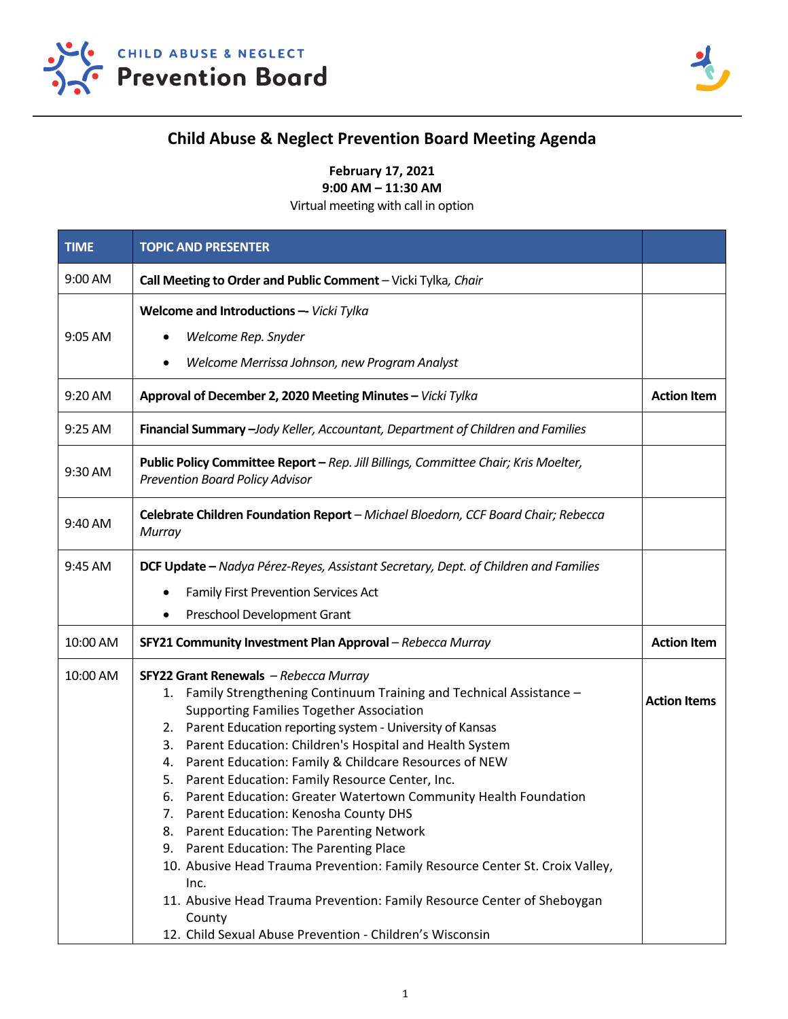



## **Child Abuse & Neglect Prevention Board Meeting Agenda**

**February 17, 2021 9:00 AM – 11:30 AM** 

Virtual meeting with call in option

| <b>TIME</b> | <b>TOPIC AND PRESENTER</b>                                                                                                    |                     |
|-------------|-------------------------------------------------------------------------------------------------------------------------------|---------------------|
| 9:00 AM     | Call Meeting to Order and Public Comment - Vicki Tylka, Chair                                                                 |                     |
|             | Welcome and Introductions -- Vicki Tylka                                                                                      |                     |
| 9:05 AM     | Welcome Rep. Snyder                                                                                                           |                     |
|             | Welcome Merrissa Johnson, new Program Analyst                                                                                 |                     |
| 9:20 AM     | Approval of December 2, 2020 Meeting Minutes - Vicki Tylka                                                                    | <b>Action Item</b>  |
| 9:25 AM     | Financial Summary - Jody Keller, Accountant, Department of Children and Families                                              |                     |
| 9:30 AM     | Public Policy Committee Report - Rep. Jill Billings, Committee Chair; Kris Moelter,<br><b>Prevention Board Policy Advisor</b> |                     |
| 9:40 AM     | Celebrate Children Foundation Report - Michael Bloedorn, CCF Board Chair; Rebecca<br>Murray                                   |                     |
| 9:45 AM     | DCF Update - Nadya Pérez-Reyes, Assistant Secretary, Dept. of Children and Families                                           |                     |
|             | <b>Family First Prevention Services Act</b>                                                                                   |                     |
|             | Preschool Development Grant                                                                                                   |                     |
| 10:00 AM    | SFY21 Community Investment Plan Approval - Rebecca Murray                                                                     | <b>Action Item</b>  |
| 10:00 AM    | SFY22 Grant Renewals - Rebecca Murray                                                                                         |                     |
|             | Family Strengthening Continuum Training and Technical Assistance -<br>1.<br><b>Supporting Families Together Association</b>   | <b>Action Items</b> |
|             | Parent Education reporting system - University of Kansas<br>2.                                                                |                     |
|             | Parent Education: Children's Hospital and Health System<br>3.                                                                 |                     |
|             | Parent Education: Family & Childcare Resources of NEW<br>4.                                                                   |                     |
|             | Parent Education: Family Resource Center, Inc.<br>5.<br>Parent Education: Greater Watertown Community Health Foundation<br>6. |                     |
|             | Parent Education: Kenosha County DHS<br>7.                                                                                    |                     |
|             | Parent Education: The Parenting Network<br>8.                                                                                 |                     |
|             | Parent Education: The Parenting Place<br>9.                                                                                   |                     |
|             | 10. Abusive Head Trauma Prevention: Family Resource Center St. Croix Valley,                                                  |                     |
|             | Inc.                                                                                                                          |                     |
|             | 11. Abusive Head Trauma Prevention: Family Resource Center of Sheboygan                                                       |                     |
|             | County<br>12. Child Sexual Abuse Prevention - Children's Wisconsin                                                            |                     |